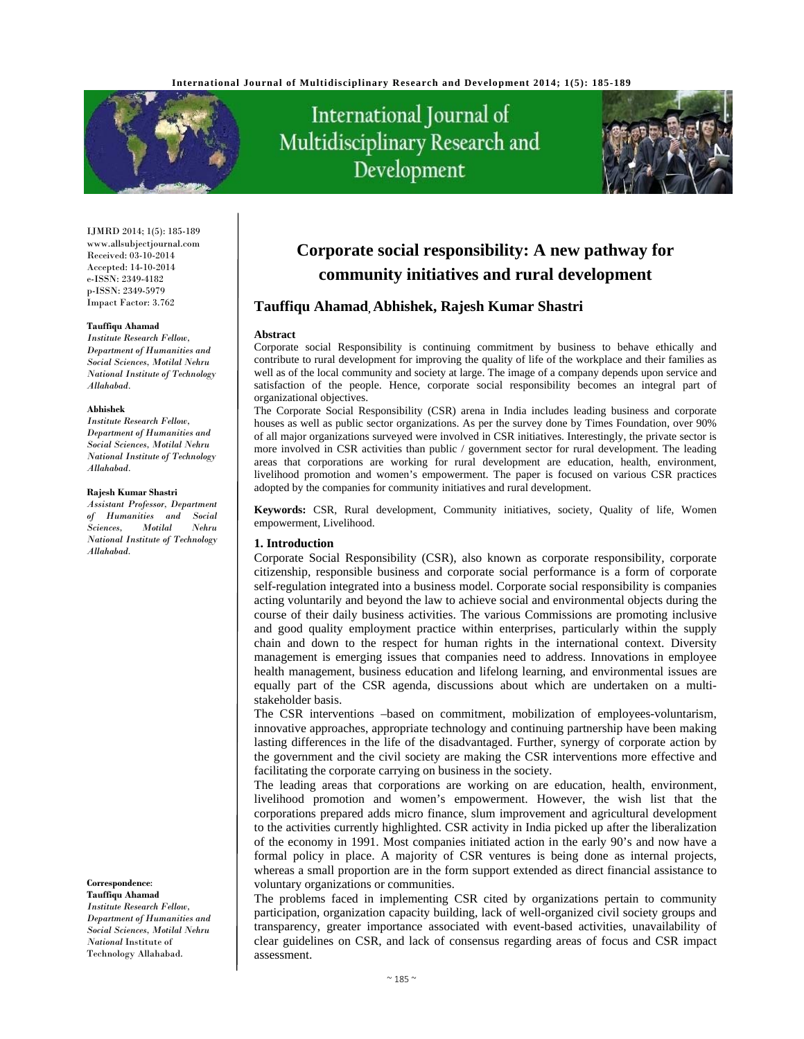

# International Journal of Multidisciplinary Research and Development



IJMRD 2014; 1(5): 185-189 www.allsubjectjournal.com Received: 03-10-2014 Accepted: 14-10-2014 e-ISSN: 2349-4182 p-ISSN: 2349-5979 Impact Factor: 3.762

#### **Tauffiqu Ahamad**

*Institute Research Fellow, Department of Humanities and Social Sciences, Motilal Nehru National Institute of Technology Allahabad.* 

#### **Abhishek**

*Institute Research Fellow, Department of Humanities and Social Sciences, Motilal Nehru National Institute of Technology Allahabad.* 

#### **Rajesh Kumar Shastri**

*Assistant Professor, Department of Humanities and Social Sciences, Motilal Nehru National Institute of Technology Allahabad.* 

**Correspondence**:

**Tauffiqu Ahamad** *Institute Research Fellow, Department of Humanities and Social Sciences, Motilal Nehru National* Institute of Technology Allahabad.

# **Corporate social responsibility: A new pathway for community initiatives and rural development**

# **Tauffiqu Ahamad, Abhishek, Rajesh Kumar Shastri**

#### **Abstract**

Corporate social Responsibility is continuing commitment by business to behave ethically and contribute to rural development for improving the quality of life of the workplace and their families as well as of the local community and society at large. The image of a company depends upon service and satisfaction of the people. Hence, corporate social responsibility becomes an integral part of organizational objectives.

The Corporate Social Responsibility (CSR) arena in India includes leading business and corporate houses as well as public sector organizations. As per the survey done by Times Foundation, over 90% of all major organizations surveyed were involved in CSR initiatives. Interestingly, the private sector is more involved in CSR activities than public / government sector for rural development. The leading areas that corporations are working for rural development are education, health, environment, livelihood promotion and women's empowerment. The paper is focused on various CSR practices adopted by the companies for community initiatives and rural development.

**Keywords:** CSR, Rural development, Community initiatives, society, Quality of life, Women empowerment, Livelihood.

#### **1. Introduction**

Corporate Social Responsibility (CSR), also known as corporate responsibility, corporate citizenship, responsible business and corporate social performance is a form of corporate self-regulation integrated into a business model. Corporate social responsibility is companies acting voluntarily and beyond the law to achieve social and environmental objects during the course of their daily business activities. The various Commissions are promoting inclusive and good quality employment practice within enterprises, particularly within the supply chain and down to the respect for human rights in the international context. Diversity management is emerging issues that companies need to address. Innovations in employee health management, business education and lifelong learning, and environmental issues are equally part of the CSR agenda, discussions about which are undertaken on a multistakeholder basis.

The CSR interventions –based on commitment, mobilization of employees-voluntarism, innovative approaches, appropriate technology and continuing partnership have been making lasting differences in the life of the disadvantaged. Further, synergy of corporate action by the government and the civil society are making the CSR interventions more effective and facilitating the corporate carrying on business in the society.

The leading areas that corporations are working on are education, health, environment, livelihood promotion and women's empowerment. However, the wish list that the corporations prepared adds micro finance, slum improvement and agricultural development to the activities currently highlighted. CSR activity in India picked up after the liberalization of the economy in 1991. Most companies initiated action in the early 90's and now have a formal policy in place. A majority of CSR ventures is being done as internal projects, whereas a small proportion are in the form support extended as direct financial assistance to voluntary organizations or communities.

The problems faced in implementing CSR cited by organizations pertain to community participation, organization capacity building, lack of well-organized civil society groups and transparency, greater importance associated with event-based activities, unavailability of clear guidelines on CSR, and lack of consensus regarding areas of focus and CSR impact assessment.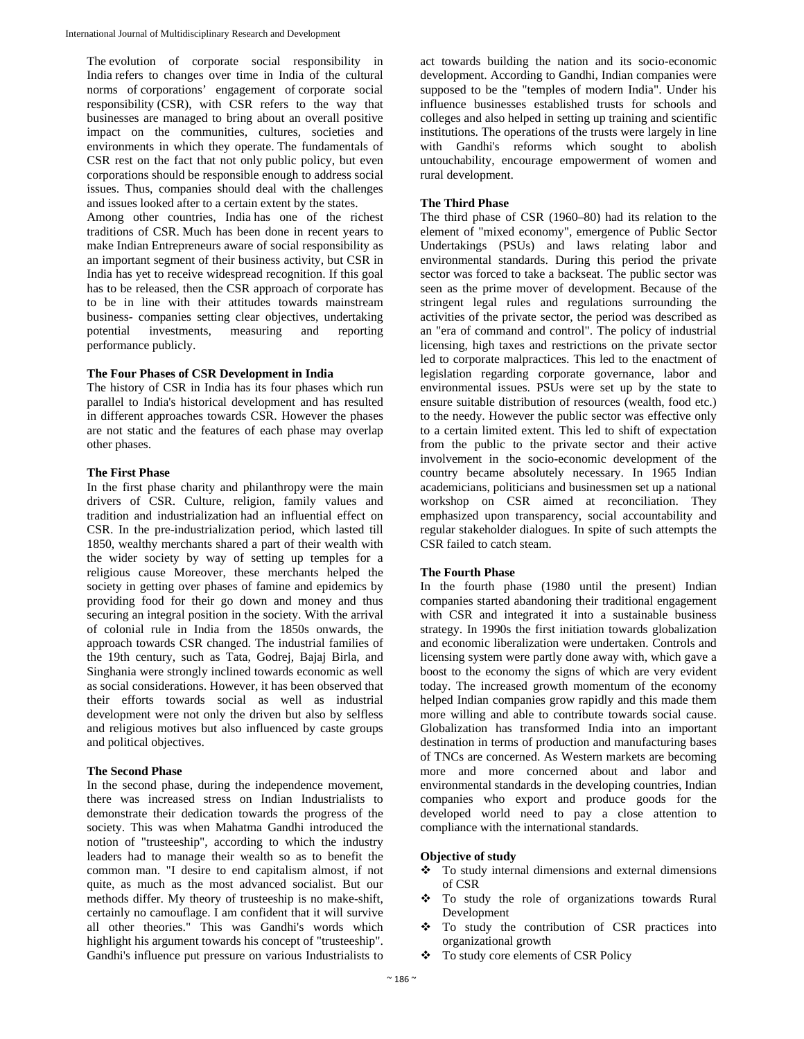The evolution of corporate social responsibility in India refers to changes over time in India of the cultural norms of corporations' engagement of corporate social responsibility (CSR), with CSR refers to the way that businesses are managed to bring about an overall positive impact on the communities, cultures, societies and environments in which they operate. The fundamentals of CSR rest on the fact that not only public policy, but even corporations should be responsible enough to address social issues. Thus, companies should deal with the challenges and issues looked after to a certain extent by the states.

Among other countries, India has one of the richest traditions of CSR. Much has been done in recent years to make Indian Entrepreneurs aware of social responsibility as an important segment of their business activity, but CSR in India has yet to receive widespread recognition. If this goal has to be released, then the CSR approach of corporate has to be in line with their attitudes towards mainstream business- companies setting clear objectives, undertaking potential investments, measuring and reporting performance publicly.

#### **The Four Phases of CSR Development in India**

The history of CSR in India has its four phases which run parallel to India's historical development and has resulted in different approaches towards CSR. However the phases are not static and the features of each phase may overlap other phases.

# **The First Phase**

In the first phase charity and philanthropy were the main drivers of CSR. Culture, religion, family values and tradition and industrialization had an influential effect on CSR. In the pre-industrialization period, which lasted till 1850, wealthy merchants shared a part of their wealth with the wider society by way of setting up temples for a religious cause Moreover, these merchants helped the society in getting over phases of famine and epidemics by providing food for their go down and money and thus securing an integral position in the society. With the arrival of colonial rule in India from the 1850s onwards, the approach towards CSR changed. The industrial families of the 19th century, such as Tata, Godrej, Bajaj Birla, and Singhania were strongly inclined towards economic as well as social considerations. However, it has been observed that their efforts towards social as well as industrial development were not only the driven but also by selfless and religious motives but also influenced by caste groups and political objectives.

#### **The Second Phase**

In the second phase, during the independence movement, there was increased stress on Indian Industrialists to demonstrate their dedication towards the progress of the society. This was when Mahatma Gandhi introduced the notion of "trusteeship", according to which the industry leaders had to manage their wealth so as to benefit the common man. "I desire to end capitalism almost, if not quite, as much as the most advanced socialist. But our methods differ. My theory of trusteeship is no make-shift, certainly no camouflage. I am confident that it will survive all other theories." This was Gandhi's words which highlight his argument towards his concept of "trusteeship". Gandhi's influence put pressure on various Industrialists to

act towards building the nation and its socio-economic development. According to Gandhi, Indian companies were supposed to be the "temples of modern India". Under his influence businesses established trusts for schools and colleges and also helped in setting up training and scientific institutions. The operations of the trusts were largely in line with Gandhi's reforms which sought to abolish untouchability, encourage empowerment of women and rural development.

# **The Third Phase**

The third phase of CSR (1960–80) had its relation to the element of "mixed economy", emergence of Public Sector Undertakings (PSUs) and laws relating labor and environmental standards. During this period the private sector was forced to take a backseat. The public sector was seen as the prime mover of development. Because of the stringent legal rules and regulations surrounding the activities of the private sector, the period was described as an "era of command and control". The policy of industrial licensing, high taxes and restrictions on the private sector led to corporate malpractices. This led to the enactment of legislation regarding corporate governance, labor and environmental issues. PSUs were set up by the state to ensure suitable distribution of resources (wealth, food etc.) to the needy. However the public sector was effective only to a certain limited extent. This led to shift of expectation from the public to the private sector and their active involvement in the socio-economic development of the country became absolutely necessary. In 1965 Indian academicians, politicians and businessmen set up a national workshop on CSR aimed at reconciliation. They emphasized upon transparency, social accountability and regular stakeholder dialogues. In spite of such attempts the CSR failed to catch steam.

# **The Fourth Phase**

In the fourth phase (1980 until the present) Indian companies started abandoning their traditional engagement with CSR and integrated it into a sustainable business strategy. In 1990s the first initiation towards globalization and economic liberalization were undertaken. Controls and licensing system were partly done away with, which gave a boost to the economy the signs of which are very evident today. The increased growth momentum of the economy helped Indian companies grow rapidly and this made them more willing and able to contribute towards social cause. Globalization has transformed India into an important destination in terms of production and manufacturing bases of TNCs are concerned. As Western markets are becoming more and more concerned about and labor and environmental standards in the developing countries, Indian companies who export and produce goods for the developed world need to pay a close attention to compliance with the international standards.

# **Objective of study**

- To study internal dimensions and external dimensions of CSR
- To study the role of organizations towards Rural Development
- \* To study the contribution of CSR practices into organizational growth
- To study core elements of CSR Policy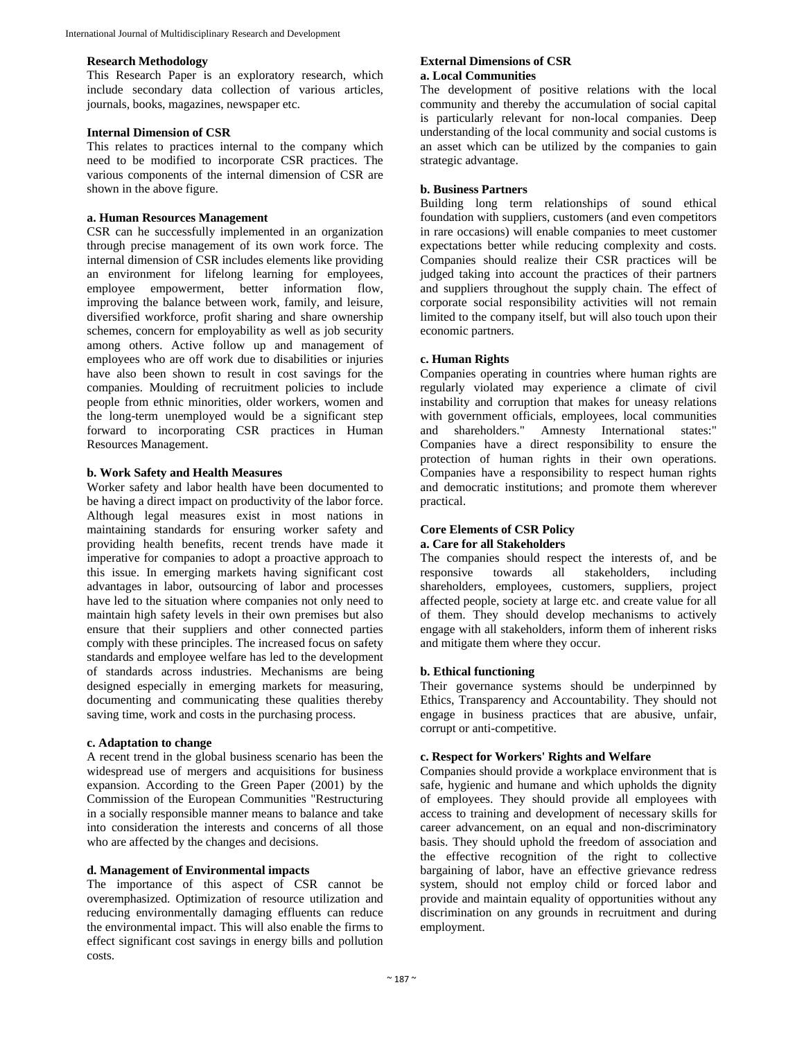#### **Research Methodology**

This Research Paper is an exploratory research, which include secondary data collection of various articles, journals, books, magazines, newspaper etc.

# **Internal Dimension of CSR**

This relates to practices internal to the company which need to be modified to incorporate CSR practices. The various components of the internal dimension of CSR are shown in the above figure.

# **a. Human Resources Management**

CSR can he successfully implemented in an organization through precise management of its own work force. The internal dimension of CSR includes elements like providing an environment for lifelong learning for employees, employee empowerment, better information flow, improving the balance between work, family, and leisure, diversified workforce, profit sharing and share ownership schemes, concern for employability as well as job security among others. Active follow up and management of employees who are off work due to disabilities or injuries have also been shown to result in cost savings for the companies. Moulding of recruitment policies to include people from ethnic minorities, older workers, women and the long-term unemployed would be a significant step forward to incorporating CSR practices in Human Resources Management.

# **b. Work Safety and Health Measures**

Worker safety and labor health have been documented to be having a direct impact on productivity of the labor force. Although legal measures exist in most nations in maintaining standards for ensuring worker safety and providing health benefits, recent trends have made it imperative for companies to adopt a proactive approach to this issue. In emerging markets having significant cost advantages in labor, outsourcing of labor and processes have led to the situation where companies not only need to maintain high safety levels in their own premises but also ensure that their suppliers and other connected parties comply with these principles. The increased focus on safety standards and employee welfare has led to the development of standards across industries. Mechanisms are being designed especially in emerging markets for measuring, documenting and communicating these qualities thereby saving time, work and costs in the purchasing process.

# **c. Adaptation to change**

A recent trend in the global business scenario has been the widespread use of mergers and acquisitions for business expansion. According to the Green Paper (2001) by the Commission of the European Communities "Restructuring in a socially responsible manner means to balance and take into consideration the interests and concerns of all those who are affected by the changes and decisions.

#### **d. Management of Environmental impacts**

The importance of this aspect of CSR cannot be overemphasized. Optimization of resource utilization and reducing environmentally damaging effluents can reduce the environmental impact. This will also enable the firms to effect significant cost savings in energy bills and pollution costs.

#### **External Dimensions of CSR a. Local Communities**

The development of positive relations with the local community and thereby the accumulation of social capital is particularly relevant for non-local companies. Deep understanding of the local community and social customs is an asset which can be utilized by the companies to gain strategic advantage.

# **b. Business Partners**

Building long term relationships of sound ethical foundation with suppliers, customers (and even competitors in rare occasions) will enable companies to meet customer expectations better while reducing complexity and costs. Companies should realize their CSR practices will be judged taking into account the practices of their partners and suppliers throughout the supply chain. The effect of corporate social responsibility activities will not remain limited to the company itself, but will also touch upon their economic partners.

# **c. Human Rights**

Companies operating in countries where human rights are regularly violated may experience a climate of civil instability and corruption that makes for uneasy relations with government officials, employees, local communities and shareholders." Amnesty International states:" Companies have a direct responsibility to ensure the protection of human rights in their own operations. Companies have a responsibility to respect human rights and democratic institutions; and promote them wherever practical.

# **Core Elements of CSR Policy a. Care for all Stakeholders**

The companies should respect the interests of, and be responsive towards all stakeholders, including shareholders, employees, customers, suppliers, project affected people, society at large etc. and create value for all of them. They should develop mechanisms to actively engage with all stakeholders, inform them of inherent risks and mitigate them where they occur.

# **b. Ethical functioning**

Their governance systems should be underpinned by Ethics, Transparency and Accountability. They should not engage in business practices that are abusive, unfair, corrupt or anti-competitive.

# **c. Respect for Workers' Rights and Welfare**

Companies should provide a workplace environment that is safe, hygienic and humane and which upholds the dignity of employees. They should provide all employees with access to training and development of necessary skills for career advancement, on an equal and non-discriminatory basis. They should uphold the freedom of association and the effective recognition of the right to collective bargaining of labor, have an effective grievance redress system, should not employ child or forced labor and provide and maintain equality of opportunities without any discrimination on any grounds in recruitment and during employment.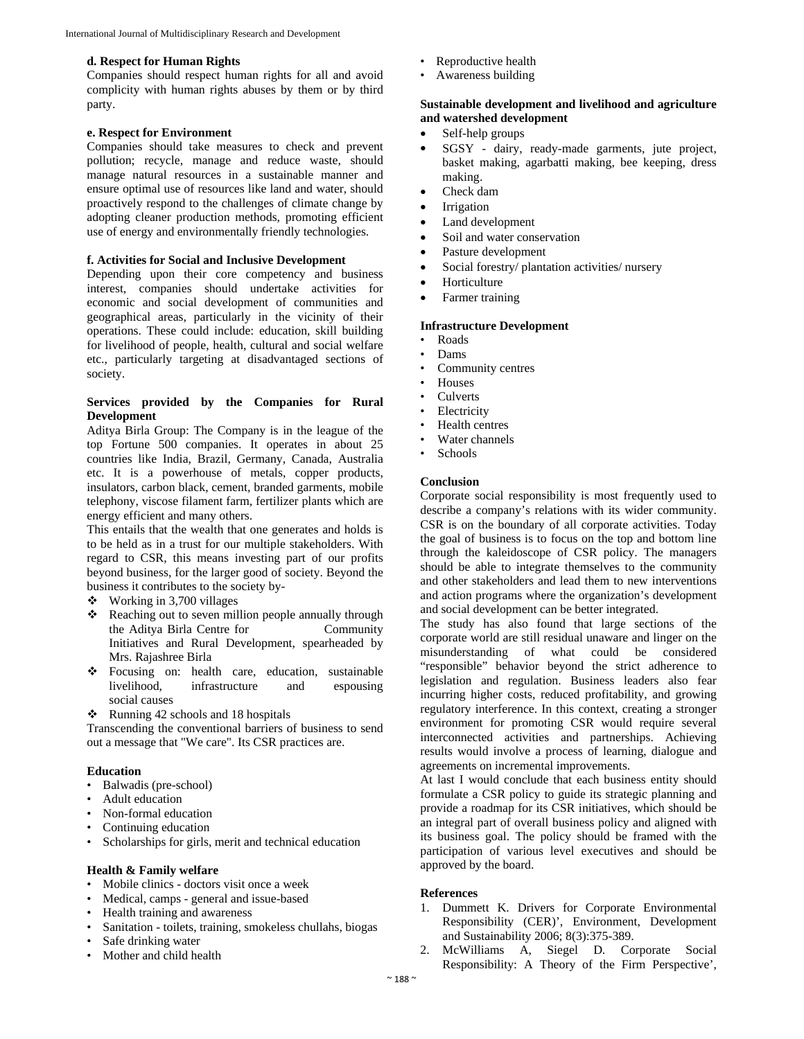# **d. Respect for Human Rights**

Companies should respect human rights for all and avoid complicity with human rights abuses by them or by third party.

# **e. Respect for Environment**

Companies should take measures to check and prevent pollution; recycle, manage and reduce waste, should manage natural resources in a sustainable manner and ensure optimal use of resources like land and water, should proactively respond to the challenges of climate change by adopting cleaner production methods, promoting efficient use of energy and environmentally friendly technologies.

# **f. Activities for Social and Inclusive Development**

Depending upon their core competency and business interest, companies should undertake activities for economic and social development of communities and geographical areas, particularly in the vicinity of their operations. These could include: education, skill building for livelihood of people, health, cultural and social welfare etc., particularly targeting at disadvantaged sections of society.

# **Services provided by the Companies for Rural Development**

Aditya Birla Group: The Company is in the league of the top Fortune 500 companies. It operates in about 25 countries like India, Brazil, Germany, Canada, Australia etc. It is a powerhouse of metals, copper products, insulators, carbon black, cement, branded garments, mobile telephony, viscose filament farm, fertilizer plants which are energy efficient and many others.

This entails that the wealth that one generates and holds is to be held as in a trust for our multiple stakeholders. With regard to CSR, this means investing part of our profits beyond business, for the larger good of society. Beyond the business it contributes to the society by-

- $\div$  Working in 3,700 villages
- \* Reaching out to seven million people annually through the Aditya Birla Centre for Community Initiatives and Rural Development, spearheaded by Mrs. Rajashree Birla
- \* Focusing on: health care, education, sustainable livelihood, infrastructure and espousing social causes
- $\div$  Running 42 schools and 18 hospitals

Transcending the conventional barriers of business to send out a message that "We care". Its CSR practices are.

# **Education**

- Balwadis (pre-school)
- Adult education
- Non-formal education
- Continuing education
- Scholarships for girls, merit and technical education

#### **Health & Family welfare**

- Mobile clinics doctors visit once a week
- Medical, camps general and issue-based
- Health training and awareness
- Sanitation toilets, training, smokeless chullahs, biogas
- Safe drinking water
- Mother and child health
- Reproductive health
- Awareness building

### **Sustainable development and livelihood and agriculture and watershed development**

- Self-help groups
- SGSY dairy, ready-made garments, jute project, basket making, agarbatti making, bee keeping, dress making.
- Check dam
- Irrigation
- Land development
- Soil and water conservation
- Pasture development
- Social forestry/ plantation activities/ nursery
- Horticulture
- Farmer training

#### **Infrastructure Development**

- Roads
- Dams
- Community centres
- Houses
- Culverts
- **Electricity**
- Health centres
- Water channels
- Schools

# **Conclusion**

Corporate social responsibility is most frequently used to describe a company's relations with its wider community. CSR is on the boundary of all corporate activities. Today the goal of business is to focus on the top and bottom line through the kaleidoscope of CSR policy. The managers should be able to integrate themselves to the community and other stakeholders and lead them to new interventions and action programs where the organization's development and social development can be better integrated.

The study has also found that large sections of the corporate world are still residual unaware and linger on the misunderstanding of what could be considered "responsible" behavior beyond the strict adherence to legislation and regulation. Business leaders also fear incurring higher costs, reduced profitability, and growing regulatory interference. In this context, creating a stronger environment for promoting CSR would require several interconnected activities and partnerships. Achieving results would involve a process of learning, dialogue and agreements on incremental improvements.

At last I would conclude that each business entity should formulate a CSR policy to guide its strategic planning and provide a roadmap for its CSR initiatives, which should be an integral part of overall business policy and aligned with its business goal. The policy should be framed with the participation of various level executives and should be approved by the board.

# **References**

- 1. Dummett K. Drivers for Corporate Environmental Responsibility (CER)', Environment, Development and Sustainability 2006; 8(3):375-389.
- 2. McWilliams A, Siegel D. Corporate Social Responsibility: A Theory of the Firm Perspective',